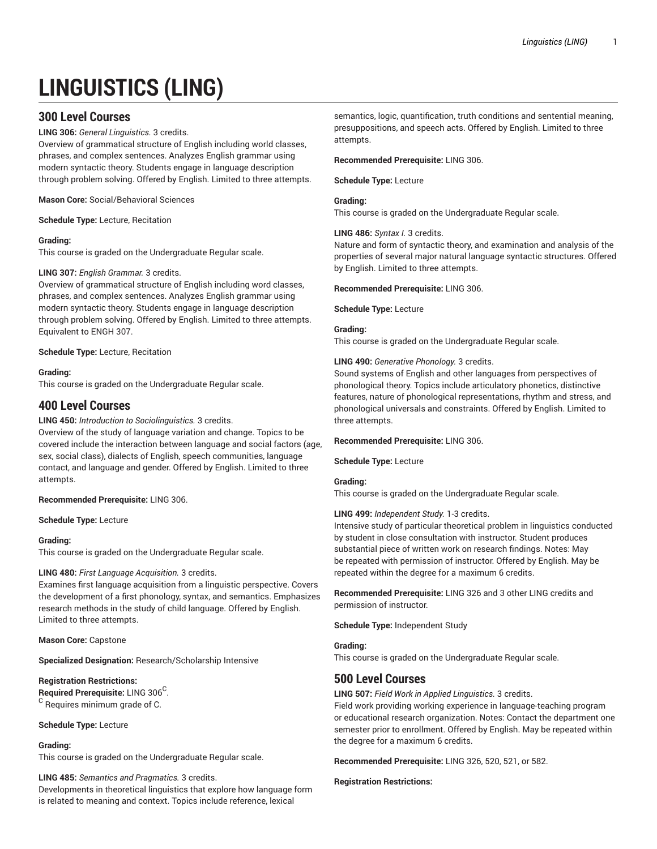# **LINGUISTICS (LING)**

# **300 Level Courses**

**LING 306:** *General Linguistics.* 3 credits.

Overview of grammatical structure of English including world classes, phrases, and complex sentences. Analyzes English grammar using modern syntactic theory. Students engage in language description through problem solving. Offered by English. Limited to three attempts.

**Mason Core:** Social/Behavioral Sciences

**Schedule Type:** Lecture, Recitation

# **Grading:**

This course is graded on the Undergraduate Regular scale.

#### **LING 307:** *English Grammar.* 3 credits.

Overview of grammatical structure of English including word classes, phrases, and complex sentences. Analyzes English grammar using modern syntactic theory. Students engage in language description through problem solving. Offered by English. Limited to three attempts. Equivalent to ENGH 307.

#### **Schedule Type:** Lecture, Recitation

#### **Grading:**

This course is graded on the Undergraduate Regular scale.

# **400 Level Courses**

**LING 450:** *Introduction to Sociolinguistics.* 3 credits.

Overview of the study of language variation and change. Topics to be covered include the interaction between language and social factors (age, sex, social class), dialects of English, speech communities, language contact, and language and gender. Offered by English. Limited to three attempts.

**Recommended Prerequisite:** LING 306.

**Schedule Type:** Lecture

#### **Grading:**

This course is graded on the Undergraduate Regular scale.

# **LING 480:** *First Language Acquisition.* 3 credits.

Examines first language acquisition from a linguistic perspective. Covers the development of a first phonology, syntax, and semantics. Emphasizes research methods in the study of child language. Offered by English. Limited to three attempts.

**Mason Core:** Capstone

**Specialized Designation:** Research/Scholarship Intensive

# **Registration Restrictions:**

**Required Prerequisite:** LING 306<sup>C</sup>.  $^{\rm C}$  Requires minimum grade of C.

#### **Schedule Type:** Lecture

# **Grading:**

This course is graded on the Undergraduate Regular scale.

#### **LING 485:** *Semantics and Pragmatics.* 3 credits.

Developments in theoretical linguistics that explore how language form is related to meaning and context. Topics include reference, lexical

semantics, logic, quantification, truth conditions and sentential meaning, presuppositions, and speech acts. Offered by English. Limited to three attempts.

**Recommended Prerequisite:** LING 306.

**Schedule Type:** Lecture

# **Grading:**

This course is graded on the Undergraduate Regular scale.

#### **LING 486:** *Syntax I.* 3 credits.

Nature and form of syntactic theory, and examination and analysis of the properties of several major natural language syntactic structures. Offered by English. Limited to three attempts.

#### **Recommended Prerequisite:** LING 306.

**Schedule Type:** Lecture

#### **Grading:**

This course is graded on the Undergraduate Regular scale.

#### **LING 490:** *Generative Phonology.* 3 credits.

Sound systems of English and other languages from perspectives of phonological theory. Topics include articulatory phonetics, distinctive features, nature of phonological representations, rhythm and stress, and phonological universals and constraints. Offered by English. Limited to three attempts.

#### **Recommended Prerequisite:** LING 306.

**Schedule Type:** Lecture

# **Grading:**

This course is graded on the Undergraduate Regular scale.

#### **LING 499:** *Independent Study.* 1-3 credits.

Intensive study of particular theoretical problem in linguistics conducted by student in close consultation with instructor. Student produces substantial piece of written work on research findings. Notes: May be repeated with permission of instructor. Offered by English. May be repeated within the degree for a maximum 6 credits.

**Recommended Prerequisite:** LING 326 and 3 other LING credits and permission of instructor.

**Schedule Type:** Independent Study

# **Grading:**

This course is graded on the Undergraduate Regular scale.

# **500 Level Courses**

**LING 507:** *Field Work in Applied Linguistics.* 3 credits.

Field work providing working experience in language-teaching program or educational research organization. Notes: Contact the department one semester prior to enrollment. Offered by English. May be repeated within the degree for a maximum 6 credits.

**Recommended Prerequisite:** LING 326, 520, 521, or 582.

#### **Registration Restrictions:**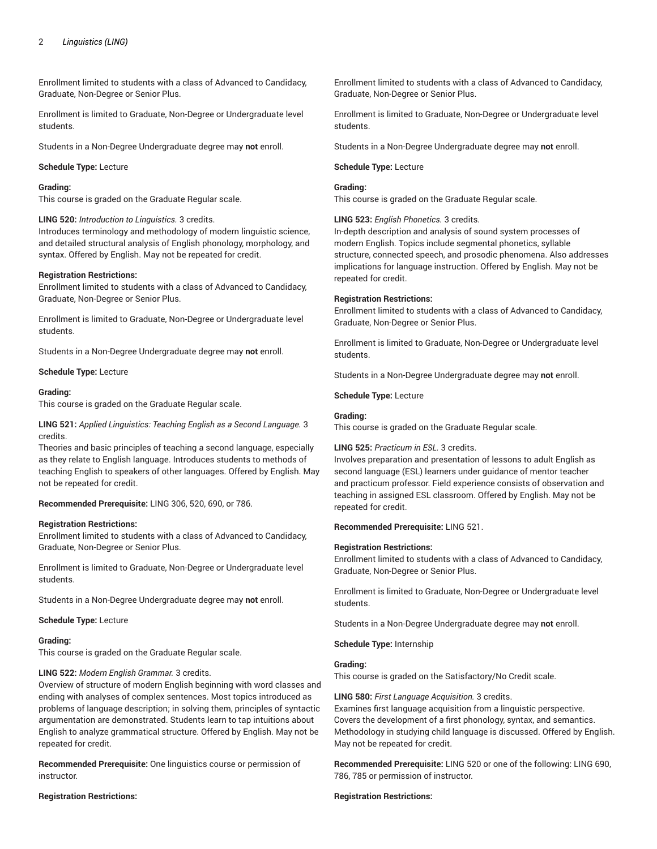# 2 *Linguistics (LING)*

Enrollment limited to students with a class of Advanced to Candidacy, Graduate, Non-Degree or Senior Plus.

Enrollment is limited to Graduate, Non-Degree or Undergraduate level students.

Students in a Non-Degree Undergraduate degree may **not** enroll.

#### **Schedule Type:** Lecture

#### **Grading:**

This course is graded on the Graduate Regular scale.

#### **LING 520:** *Introduction to Linguistics.* 3 credits.

Introduces terminology and methodology of modern linguistic science, and detailed structural analysis of English phonology, morphology, and syntax. Offered by English. May not be repeated for credit.

#### **Registration Restrictions:**

Enrollment limited to students with a class of Advanced to Candidacy, Graduate, Non-Degree or Senior Plus.

Enrollment is limited to Graduate, Non-Degree or Undergraduate level students.

Students in a Non-Degree Undergraduate degree may **not** enroll.

#### **Schedule Type:** Lecture

#### **Grading:**

This course is graded on the Graduate Regular scale.

**LING 521:** *Applied Linguistics: Teaching English as a Second Language.* 3 credits.

Theories and basic principles of teaching a second language, especially as they relate to English language. Introduces students to methods of teaching English to speakers of other languages. Offered by English. May not be repeated for credit.

# **Recommended Prerequisite:** LING 306, 520, 690, or 786.

# **Registration Restrictions:**

Enrollment limited to students with a class of Advanced to Candidacy, Graduate, Non-Degree or Senior Plus.

Enrollment is limited to Graduate, Non-Degree or Undergraduate level students.

Students in a Non-Degree Undergraduate degree may **not** enroll.

**Schedule Type:** Lecture

#### **Grading:**

This course is graded on the Graduate Regular scale.

# **LING 522:** *Modern English Grammar.* 3 credits.

Overview of structure of modern English beginning with word classes and ending with analyses of complex sentences. Most topics introduced as problems of language description; in solving them, principles of syntactic argumentation are demonstrated. Students learn to tap intuitions about English to analyze grammatical structure. Offered by English. May not be repeated for credit.

**Recommended Prerequisite:** One linguistics course or permission of instructor.

#### **Registration Restrictions:**

Enrollment limited to students with a class of Advanced to Candidacy, Graduate, Non-Degree or Senior Plus.

Enrollment is limited to Graduate, Non-Degree or Undergraduate level students.

Students in a Non-Degree Undergraduate degree may **not** enroll.

#### **Schedule Type:** Lecture

# **Grading:**

This course is graded on the Graduate Regular scale.

#### **LING 523:** *English Phonetics.* 3 credits.

In-depth description and analysis of sound system processes of modern English. Topics include segmental phonetics, syllable structure, connected speech, and prosodic phenomena. Also addresses implications for language instruction. Offered by English. May not be repeated for credit.

#### **Registration Restrictions:**

Enrollment limited to students with a class of Advanced to Candidacy, Graduate, Non-Degree or Senior Plus.

Enrollment is limited to Graduate, Non-Degree or Undergraduate level students.

Students in a Non-Degree Undergraduate degree may **not** enroll.

**Schedule Type:** Lecture

#### **Grading:**

This course is graded on the Graduate Regular scale.

# **LING 525:** *Practicum in ESL.* 3 credits.

Involves preparation and presentation of lessons to adult English as second language (ESL) learners under guidance of mentor teacher and practicum professor. Field experience consists of observation and teaching in assigned ESL classroom. Offered by English. May not be repeated for credit.

# **Recommended Prerequisite:** LING 521.

#### **Registration Restrictions:**

Enrollment limited to students with a class of Advanced to Candidacy, Graduate, Non-Degree or Senior Plus.

Enrollment is limited to Graduate, Non-Degree or Undergraduate level students.

Students in a Non-Degree Undergraduate degree may **not** enroll.

**Schedule Type:** Internship

#### **Grading:**

This course is graded on the Satisfactory/No Credit scale.

**LING 580:** *First Language Acquisition.* 3 credits.

Examines first language acquisition from a linguistic perspective. Covers the development of a first phonology, syntax, and semantics. Methodology in studying child language is discussed. Offered by English. May not be repeated for credit.

**Recommended Prerequisite:** LING 520 or one of the following: LING 690, 786, 785 or permission of instructor.

#### **Registration Restrictions:**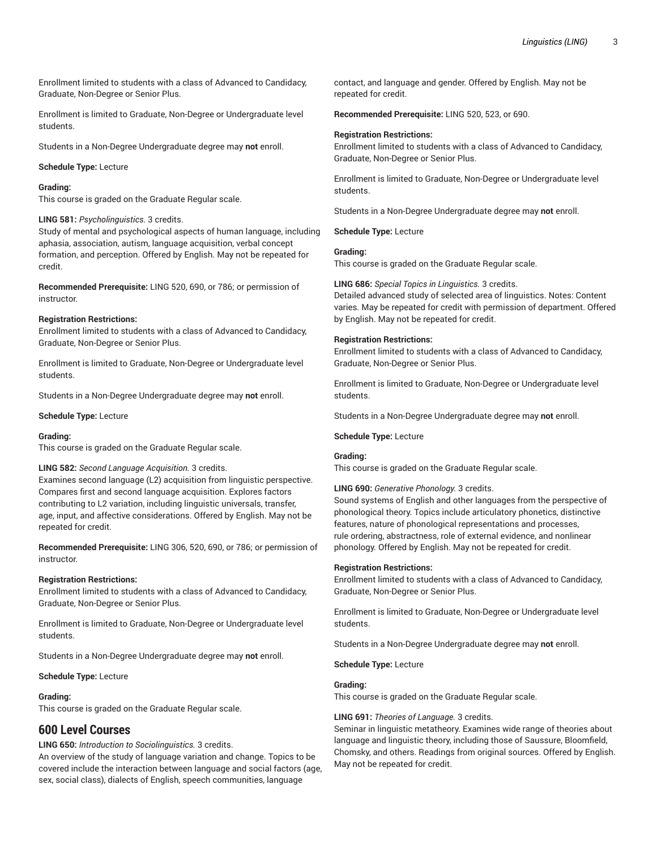Enrollment limited to students with a class of Advanced to Candidacy, Graduate, Non-Degree or Senior Plus.

Enrollment is limited to Graduate, Non-Degree or Undergraduate level students.

Students in a Non-Degree Undergraduate degree may **not** enroll.

#### **Schedule Type:** Lecture

#### **Grading:**

This course is graded on the Graduate Regular scale.

#### **LING 581:** *Psycholinguistics.* 3 credits.

Study of mental and psychological aspects of human language, including aphasia, association, autism, language acquisition, verbal concept formation, and perception. Offered by English. May not be repeated for credit.

**Recommended Prerequisite:** LING 520, 690, or 786; or permission of instructor.

#### **Registration Restrictions:**

Enrollment limited to students with a class of Advanced to Candidacy, Graduate, Non-Degree or Senior Plus.

Enrollment is limited to Graduate, Non-Degree or Undergraduate level students.

Students in a Non-Degree Undergraduate degree may **not** enroll.

#### **Schedule Type:** Lecture

#### **Grading:**

This course is graded on the Graduate Regular scale.

#### **LING 582:** *Second Language Acquisition.* 3 credits.

Examines second language (L2) acquisition from linguistic perspective. Compares first and second language acquisition. Explores factors contributing to L2 variation, including linguistic universals, transfer, age, input, and affective considerations. Offered by English. May not be repeated for credit.

**Recommended Prerequisite:** LING 306, 520, 690, or 786; or permission of instructor.

#### **Registration Restrictions:**

Enrollment limited to students with a class of Advanced to Candidacy, Graduate, Non-Degree or Senior Plus.

Enrollment is limited to Graduate, Non-Degree or Undergraduate level students.

Students in a Non-Degree Undergraduate degree may **not** enroll.

**Schedule Type:** Lecture

# **Grading:**

This course is graded on the Graduate Regular scale.

# **600 Level Courses**

# **LING 650:** *Introduction to Sociolinguistics.* 3 credits.

An overview of the study of language variation and change. Topics to be covered include the interaction between language and social factors (age, sex, social class), dialects of English, speech communities, language

contact, and language and gender. Offered by English. May not be repeated for credit.

**Recommended Prerequisite:** LING 520, 523, or 690.

#### **Registration Restrictions:**

Enrollment limited to students with a class of Advanced to Candidacy, Graduate, Non-Degree or Senior Plus.

Enrollment is limited to Graduate, Non-Degree or Undergraduate level students.

Students in a Non-Degree Undergraduate degree may **not** enroll.

**Schedule Type:** Lecture

# **Grading:**

This course is graded on the Graduate Regular scale.

**LING 686:** *Special Topics in Linguistics.* 3 credits. Detailed advanced study of selected area of linguistics. Notes: Content varies. May be repeated for credit with permission of department. Offered by English. May not be repeated for credit.

#### **Registration Restrictions:**

Enrollment limited to students with a class of Advanced to Candidacy, Graduate, Non-Degree or Senior Plus.

Enrollment is limited to Graduate, Non-Degree or Undergraduate level students.

Students in a Non-Degree Undergraduate degree may **not** enroll.

#### **Schedule Type:** Lecture

#### **Grading:**

This course is graded on the Graduate Regular scale.

#### **LING 690:** *Generative Phonology.* 3 credits.

Sound systems of English and other languages from the perspective of phonological theory. Topics include articulatory phonetics, distinctive features, nature of phonological representations and processes, rule ordering, abstractness, role of external evidence, and nonlinear phonology. Offered by English. May not be repeated for credit.

#### **Registration Restrictions:**

Enrollment limited to students with a class of Advanced to Candidacy, Graduate, Non-Degree or Senior Plus.

Enrollment is limited to Graduate, Non-Degree or Undergraduate level students.

Students in a Non-Degree Undergraduate degree may **not** enroll.

**Schedule Type:** Lecture

#### **Grading:**

This course is graded on the Graduate Regular scale.

#### **LING 691:** *Theories of Language.* 3 credits.

Seminar in linguistic metatheory. Examines wide range of theories about language and linguistic theory, including those of Saussure, Bloomfield, Chomsky, and others. Readings from original sources. Offered by English. May not be repeated for credit.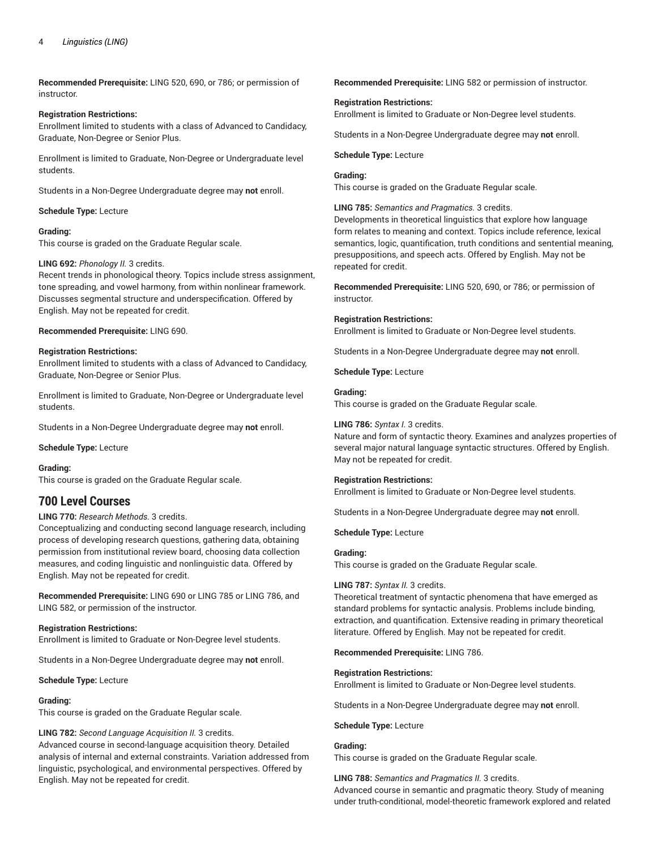**Recommended Prerequisite:** LING 520, 690, or 786; or permission of instructor.

#### **Registration Restrictions:**

Enrollment limited to students with a class of Advanced to Candidacy, Graduate, Non-Degree or Senior Plus.

Enrollment is limited to Graduate, Non-Degree or Undergraduate level students.

Students in a Non-Degree Undergraduate degree may **not** enroll.

# **Schedule Type:** Lecture

# **Grading:**

This course is graded on the Graduate Regular scale.

#### **LING 692:** *Phonology II.* 3 credits.

Recent trends in phonological theory. Topics include stress assignment, tone spreading, and vowel harmony, from within nonlinear framework. Discusses segmental structure and underspecification. Offered by English. May not be repeated for credit.

#### **Recommended Prerequisite:** LING 690.

#### **Registration Restrictions:**

Enrollment limited to students with a class of Advanced to Candidacy, Graduate, Non-Degree or Senior Plus.

Enrollment is limited to Graduate, Non-Degree or Undergraduate level students.

Students in a Non-Degree Undergraduate degree may **not** enroll.

**Schedule Type:** Lecture

#### **Grading:**

This course is graded on the Graduate Regular scale.

# **700 Level Courses**

# **LING 770:** *Research Methods.* 3 credits.

Conceptualizing and conducting second language research, including process of developing research questions, gathering data, obtaining permission from institutional review board, choosing data collection measures, and coding linguistic and nonlinguistic data. Offered by English. May not be repeated for credit.

**Recommended Prerequisite:** LING 690 or LING 785 or LING 786, and LING 582, or permission of the instructor.

# **Registration Restrictions:**

Enrollment is limited to Graduate or Non-Degree level students.

Students in a Non-Degree Undergraduate degree may **not** enroll.

**Schedule Type:** Lecture

#### **Grading:**

This course is graded on the Graduate Regular scale.

# **LING 782:** *Second Language Acquisition II.* 3 credits.

Advanced course in second-language acquisition theory. Detailed analysis of internal and external constraints. Variation addressed from linguistic, psychological, and environmental perspectives. Offered by English. May not be repeated for credit.

**Recommended Prerequisite:** LING 582 or permission of instructor.

#### **Registration Restrictions:**

Enrollment is limited to Graduate or Non-Degree level students.

Students in a Non-Degree Undergraduate degree may **not** enroll.

#### **Schedule Type:** Lecture

# **Grading:**

This course is graded on the Graduate Regular scale.

**LING 785:** *Semantics and Pragmatics.* 3 credits.

Developments in theoretical linguistics that explore how language form relates to meaning and context. Topics include reference, lexical semantics, logic, quantification, truth conditions and sentential meaning, presuppositions, and speech acts. Offered by English. May not be repeated for credit.

**Recommended Prerequisite:** LING 520, 690, or 786; or permission of instructor.

# **Registration Restrictions:**

Enrollment is limited to Graduate or Non-Degree level students.

Students in a Non-Degree Undergraduate degree may **not** enroll.

**Schedule Type:** Lecture

#### **Grading:**

This course is graded on the Graduate Regular scale.

#### **LING 786:** *Syntax I.* 3 credits.

Nature and form of syntactic theory. Examines and analyzes properties of several major natural language syntactic structures. Offered by English. May not be repeated for credit.

# **Registration Restrictions:**

Enrollment is limited to Graduate or Non-Degree level students.

Students in a Non-Degree Undergraduate degree may **not** enroll.

**Schedule Type:** Lecture

# **Grading:**

This course is graded on the Graduate Regular scale.

# **LING 787:** *Syntax II.* 3 credits.

Theoretical treatment of syntactic phenomena that have emerged as standard problems for syntactic analysis. Problems include binding, extraction, and quantification. Extensive reading in primary theoretical literature. Offered by English. May not be repeated for credit.

#### **Recommended Prerequisite:** LING 786.

# **Registration Restrictions:**

Enrollment is limited to Graduate or Non-Degree level students.

Students in a Non-Degree Undergraduate degree may **not** enroll.

#### **Schedule Type:** Lecture

# **Grading:**

This course is graded on the Graduate Regular scale.

**LING 788:** *Semantics and Pragmatics II.* 3 credits. Advanced course in semantic and pragmatic theory. Study of meaning under truth-conditional, model-theoretic framework explored and related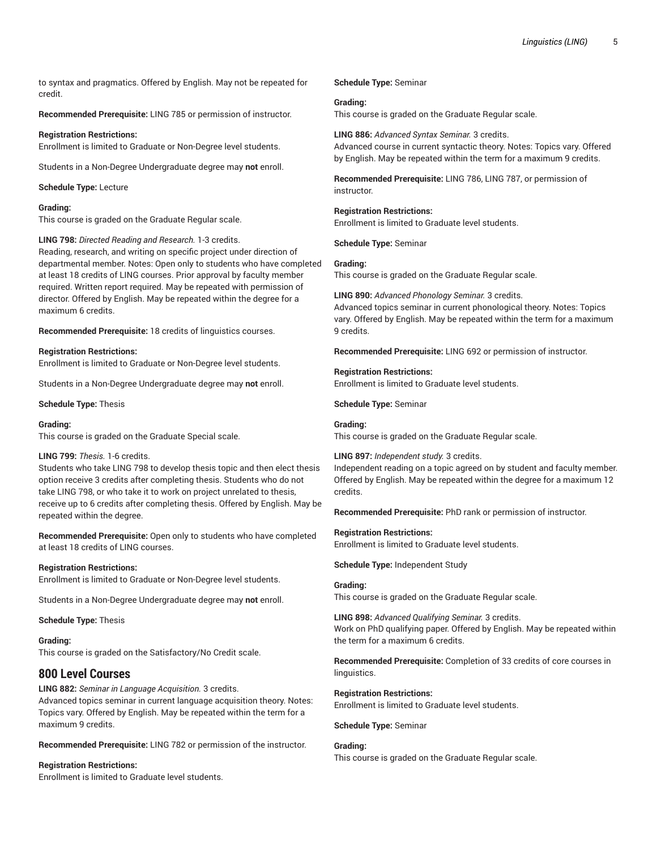to syntax and pragmatics. Offered by English. May not be repeated for credit.

**Recommended Prerequisite:** LING 785 or permission of instructor.

# **Registration Restrictions:**

Enrollment is limited to Graduate or Non-Degree level students.

Students in a Non-Degree Undergraduate degree may **not** enroll.

**Schedule Type:** Lecture

# **Grading:**

This course is graded on the Graduate Regular scale.

#### **LING 798:** *Directed Reading and Research.* 1-3 credits.

Reading, research, and writing on specific project under direction of departmental member. Notes: Open only to students who have completed at least 18 credits of LING courses. Prior approval by faculty member required. Written report required. May be repeated with permission of director. Offered by English. May be repeated within the degree for a maximum 6 credits.

**Recommended Prerequisite:** 18 credits of linguistics courses.

# **Registration Restrictions:**

Enrollment is limited to Graduate or Non-Degree level students.

Students in a Non-Degree Undergraduate degree may **not** enroll.

**Schedule Type:** Thesis

# **Grading:**

This course is graded on the Graduate Special scale.

# **LING 799:** *Thesis.* 1-6 credits.

Students who take LING 798 to develop thesis topic and then elect thesis option receive 3 credits after completing thesis. Students who do not take LING 798, or who take it to work on project unrelated to thesis, receive up to 6 credits after completing thesis. Offered by English. May be repeated within the degree.

**Recommended Prerequisite:** Open only to students who have completed at least 18 credits of LING courses.

# **Registration Restrictions:**

Enrollment is limited to Graduate or Non-Degree level students.

Students in a Non-Degree Undergraduate degree may **not** enroll.

**Schedule Type:** Thesis

**Grading:** This course is graded on the Satisfactory/No Credit scale.

# **800 Level Courses**

**LING 882:** *Seminar in Language Acquisition.* 3 credits. Advanced topics seminar in current language acquisition theory. Notes: Topics vary. Offered by English. May be repeated within the term for a maximum 9 credits.

**Recommended Prerequisite:** LING 782 or permission of the instructor.

# **Registration Restrictions:**

Enrollment is limited to Graduate level students.

# **Schedule Type:** Seminar

**Grading:** This course is graded on the Graduate Regular scale.

**LING 886:** *Advanced Syntax Seminar.* 3 credits. Advanced course in current syntactic theory. Notes: Topics vary. Offered by English. May be repeated within the term for a maximum 9 credits.

**Recommended Prerequisite:** LING 786, LING 787, or permission of instructor.

#### **Registration Restrictions:**

Enrollment is limited to Graduate level students.

**Schedule Type:** Seminar

# **Grading:**

This course is graded on the Graduate Regular scale.

**LING 890:** *Advanced Phonology Seminar.* 3 credits. Advanced topics seminar in current phonological theory. Notes: Topics vary. Offered by English. May be repeated within the term for a maximum 9 credits.

**Recommended Prerequisite:** LING 692 or permission of instructor.

#### **Registration Restrictions:** Enrollment is limited to Graduate level students.

**Schedule Type:** Seminar

# **Grading:**

This course is graded on the Graduate Regular scale.

**LING 897:** *Independent study.* 3 credits. Independent reading on a topic agreed on by student and faculty member. Offered by English. May be repeated within the degree for a maximum 12 credits.

**Recommended Prerequisite:** PhD rank or permission of instructor.

# **Registration Restrictions:**

Enrollment is limited to Graduate level students.

**Schedule Type:** Independent Study

# **Grading:**

This course is graded on the Graduate Regular scale.

**LING 898:** *Advanced Qualifying Seminar.* 3 credits. Work on PhD qualifying paper. Offered by English. May be repeated within the term for a maximum 6 credits.

**Recommended Prerequisite:** Completion of 33 credits of core courses in linguistics.

# **Registration Restrictions:**

Enrollment is limited to Graduate level students.

**Schedule Type:** Seminar

#### **Grading:**

This course is graded on the Graduate Regular scale.